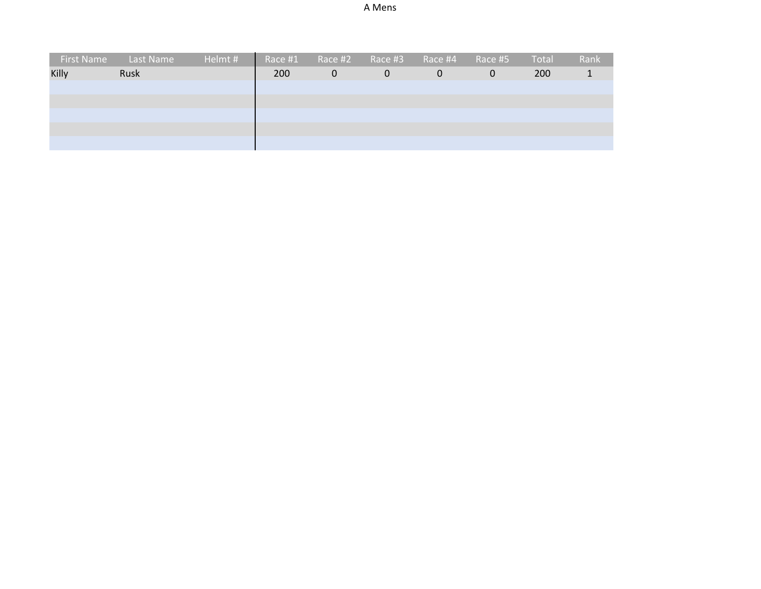| First Name | <b>Last Name</b> | Helmt # |     | Race #1 Race #2 |          | Race #3 Race #4 | Race #5  | Total | Rank |
|------------|------------------|---------|-----|-----------------|----------|-----------------|----------|-------|------|
| Killy      | Rusk             |         | 200 | $\Omega$        | $\Omega$ | $\Omega$        | $\Omega$ | 200   |      |
|            |                  |         |     |                 |          |                 |          |       |      |
|            |                  |         |     |                 |          |                 |          |       |      |
|            |                  |         |     |                 |          |                 |          |       |      |
|            |                  |         |     |                 |          |                 |          |       |      |
|            |                  |         |     |                 |          |                 |          |       |      |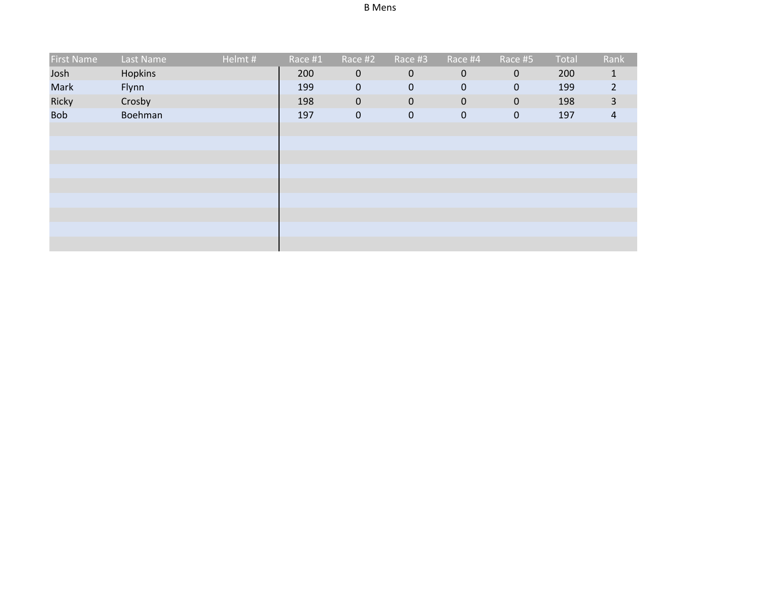| <b>First Name</b> | Last Name | Helmt# | Race #1 | Race #2     | Race #3     | $Race$ #4   | Race #5      | Total | Rank           |
|-------------------|-----------|--------|---------|-------------|-------------|-------------|--------------|-------|----------------|
| Josh              | Hopkins   |        | 200     | $\mathbf 0$ | $\mathbf 0$ | $\mathbf 0$ | $\mathbf{0}$ | 200   | $\mathbf{1}$   |
| Mark              | Flynn     |        | 199     | $\mathbf 0$ | 0           | $\mathbf 0$ | $\mathbf 0$  | 199   | $\overline{2}$ |
| Ricky             | Crosby    |        | 198     | $\mathbf 0$ | $\mathbf 0$ | $\mathbf 0$ | $\mathbf 0$  | 198   | $\overline{3}$ |
| <b>Bob</b>        | Boehman   |        | 197     | $\mathbf 0$ | 0           | $\mathbf 0$ | $\mathbf{0}$ | 197   | $\overline{a}$ |
|                   |           |        |         |             |             |             |              |       |                |
|                   |           |        |         |             |             |             |              |       |                |
|                   |           |        |         |             |             |             |              |       |                |
|                   |           |        |         |             |             |             |              |       |                |
|                   |           |        |         |             |             |             |              |       |                |
|                   |           |        |         |             |             |             |              |       |                |
|                   |           |        |         |             |             |             |              |       |                |
|                   |           |        |         |             |             |             |              |       |                |
|                   |           |        |         |             |             |             |              |       |                |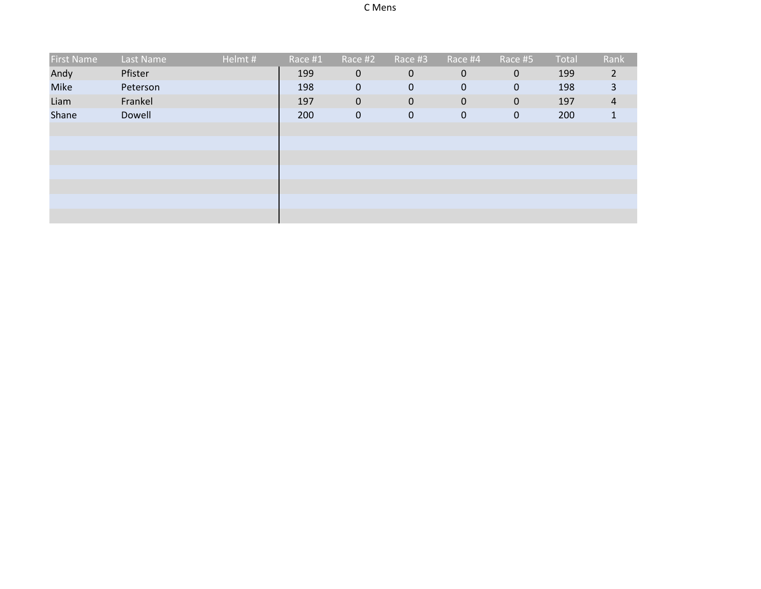| <b>First Name</b> | Last Name | Helmt# | Race #1 | Race #2     | Race #3     | Race #4      | Race #5     | Total | Rank           |
|-------------------|-----------|--------|---------|-------------|-------------|--------------|-------------|-------|----------------|
| Andy              | Pfister   |        | 199     | $\mathbf 0$ | $\mathbf 0$ | $\mathbf 0$  | $\mathbf 0$ | 199   | $\overline{2}$ |
| Mike              | Peterson  |        | 198     | $\mathbf 0$ | $\mathbf 0$ | $\mathbf{0}$ | $\mathbf 0$ | 198   | 3              |
| Liam              | Frankel   |        | 197     | $\mathbf 0$ | $\mathbf 0$ | $\mathbf 0$  | $\mathbf 0$ | 197   | $\overline{4}$ |
| Shane             | Dowell    |        | 200     | $\pmb{0}$   | $\pmb{0}$   | $\mathbf 0$  | $\pmb{0}$   | 200   | 1              |
|                   |           |        |         |             |             |              |             |       |                |
|                   |           |        |         |             |             |              |             |       |                |
|                   |           |        |         |             |             |              |             |       |                |
|                   |           |        |         |             |             |              |             |       |                |
|                   |           |        |         |             |             |              |             |       |                |
|                   |           |        |         |             |             |              |             |       |                |
|                   |           |        |         |             |             |              |             |       |                |
|                   |           |        |         |             |             |              |             |       |                |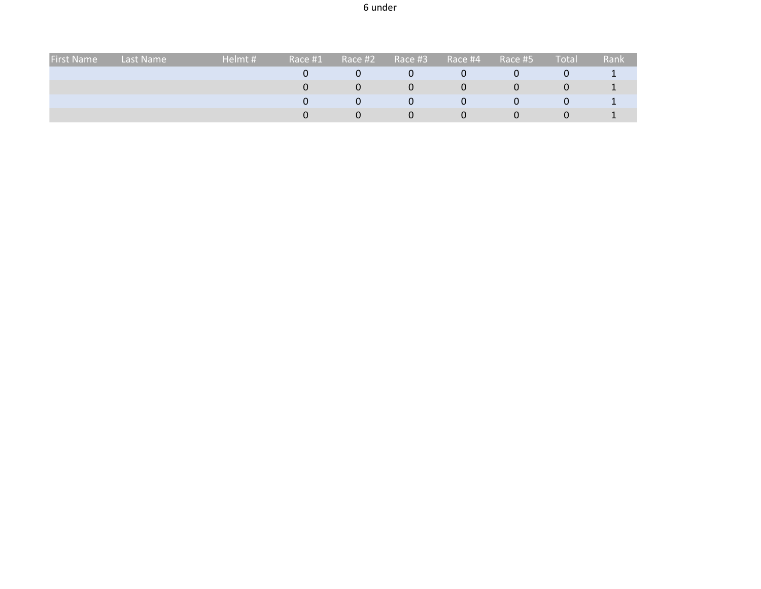| <b>First Name</b> | Last Name | Helmt # | Race #1 | Race #2 | Race #3 | Race #4 | Race #5 | Total | Rank |
|-------------------|-----------|---------|---------|---------|---------|---------|---------|-------|------|
|                   |           |         |         |         | Ü       | Ü       |         | υ     |      |
|                   |           |         |         |         | 0       | 0       |         | υ     |      |
|                   |           |         |         | 0       | 0       | 0       |         | 0     |      |
|                   |           |         |         |         | 0       | Ü       |         | U     |      |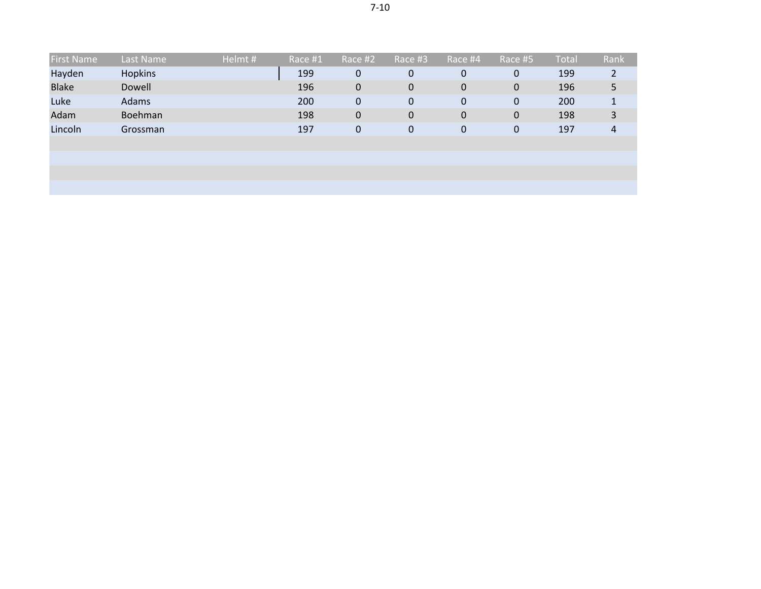| <b>First Name</b> | Last Name | Helmt # | Race #1 | Race #2     | Race #3 | Race #4     | Race #5   | Total | Rank |
|-------------------|-----------|---------|---------|-------------|---------|-------------|-----------|-------|------|
| Hayden            | Hopkins   |         | 199     | 0           | 0       | $\mathbf 0$ | 0         | 199   |      |
| <b>Blake</b>      | Dowell    |         | 196     | $\mathbf 0$ | 0       | $\mathbf 0$ | $\pmb{0}$ | 196   | 5    |
| Luke              | Adams     |         | 200     | $\pmb{0}$   | 0       | $\mathbf 0$ | 0         | 200   |      |
| Adam              | Boehman   |         | 198     | $\mathbf 0$ | 0       | $\mathbf 0$ | $\pmb{0}$ | 198   | 3    |
| Lincoln           | Grossman  |         | 197     | $\mathbf 0$ | 0       | $\mathbf 0$ | 0         | 197   | 4    |
|                   |           |         |         |             |         |             |           |       |      |
|                   |           |         |         |             |         |             |           |       |      |
|                   |           |         |         |             |         |             |           |       |      |
|                   |           |         |         |             |         |             |           |       |      |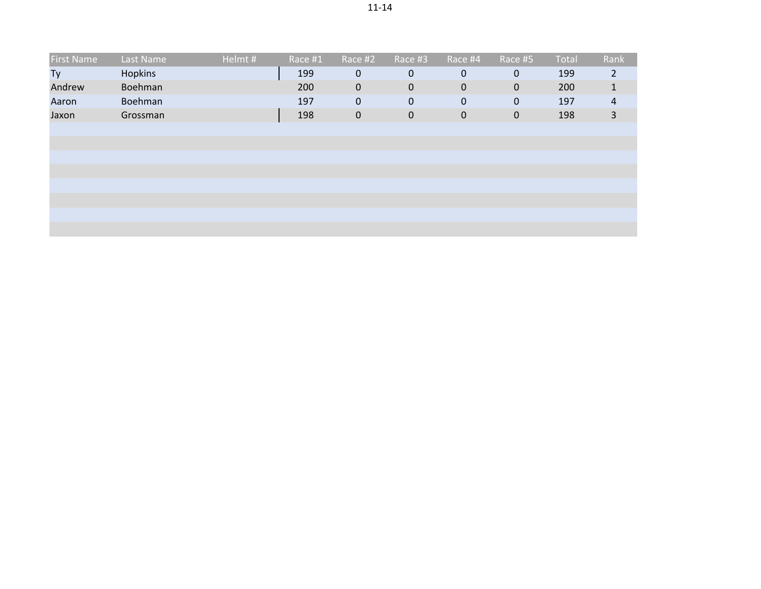|--|

| <b>First Name</b> | Last Name | Helmt# | Race #1 | Race #2     | Race #3          | Race #4      | Race #5     | Total | Rank           |
|-------------------|-----------|--------|---------|-------------|------------------|--------------|-------------|-------|----------------|
| Ty                | Hopkins   |        | 199     | $\mathbf 0$ | 0                | $\mathbf{0}$ | 0           | 199   | $\overline{2}$ |
| Andrew            | Boehman   |        | 200     | $\mathbf 0$ | $\pmb{0}$        | $\mathbf 0$  | $\mathbf 0$ | 200   | 1              |
| Aaron             | Boehman   |        | 197     | $\mathbf 0$ | $\boldsymbol{0}$ | $\mathbf 0$  | $\pmb{0}$   | 197   | $\overline{4}$ |
| Jaxon             | Grossman  |        | 198     | $\mathbf 0$ | $\mathbf 0$      | $\mathbf 0$  | $\pmb{0}$   | 198   | 3              |
|                   |           |        |         |             |                  |              |             |       |                |
|                   |           |        |         |             |                  |              |             |       |                |
|                   |           |        |         |             |                  |              |             |       |                |
|                   |           |        |         |             |                  |              |             |       |                |
|                   |           |        |         |             |                  |              |             |       |                |
|                   |           |        |         |             |                  |              |             |       |                |
|                   |           |        |         |             |                  |              |             |       |                |
|                   |           |        |         |             |                  |              |             |       |                |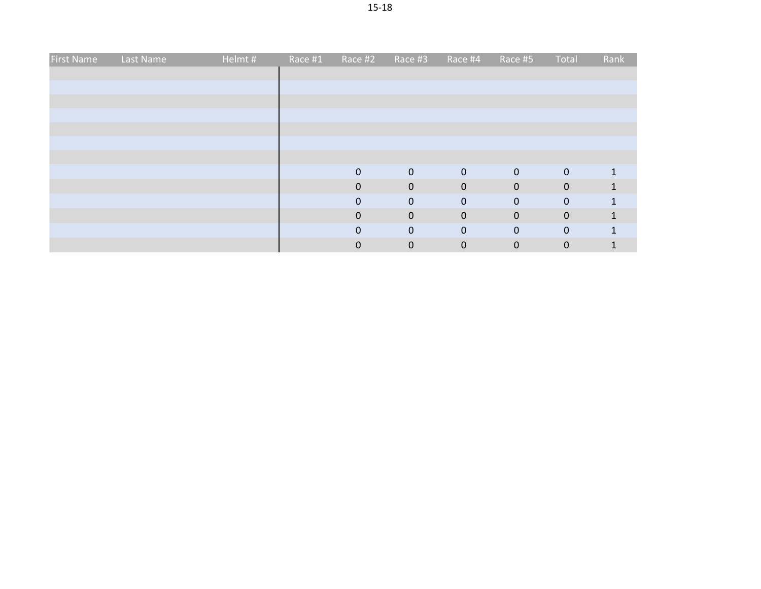| First Name | Last Name | Helmt # | Race #1 | Race #2      | Race #3        | Race #4     | Race #5     | Total       | Rank         |
|------------|-----------|---------|---------|--------------|----------------|-------------|-------------|-------------|--------------|
|            |           |         |         |              |                |             |             |             |              |
|            |           |         |         |              |                |             |             |             |              |
|            |           |         |         |              |                |             |             |             |              |
|            |           |         |         |              |                |             |             |             |              |
|            |           |         |         |              |                |             |             |             |              |
|            |           |         |         |              |                |             |             |             |              |
|            |           |         |         |              |                |             |             |             |              |
|            |           |         |         | $\mathbf 0$  | $\overline{0}$ | $\mathbf 0$ | $\mathbf 0$ | $\mathbf 0$ |              |
|            |           |         |         | $\mathbf 0$  | $\mathbf 0$    | $\mathbf 0$ | $\mathbf 0$ | $\mathbf 0$ | $\mathbf{1}$ |
|            |           |         |         | 0            | $\mathbf 0$    | $\mathbf 0$ | $\mathbf 0$ | $\mathbf 0$ | 1            |
|            |           |         |         | $\mathbf 0$  | $\mathbf 0$    | $\mathbf 0$ | $\mathbf 0$ | $\mathbf 0$ | $\mathbf{1}$ |
|            |           |         |         | $\mathbf{0}$ | $\mathbf 0$    | $\pmb{0}$   | $\mathbf 0$ | $\bf 0$     | 1            |
|            |           |         |         | 0            | $\mathbf 0$    | $\pmb{0}$   | $\pmb{0}$   | $\mathbf 0$ |              |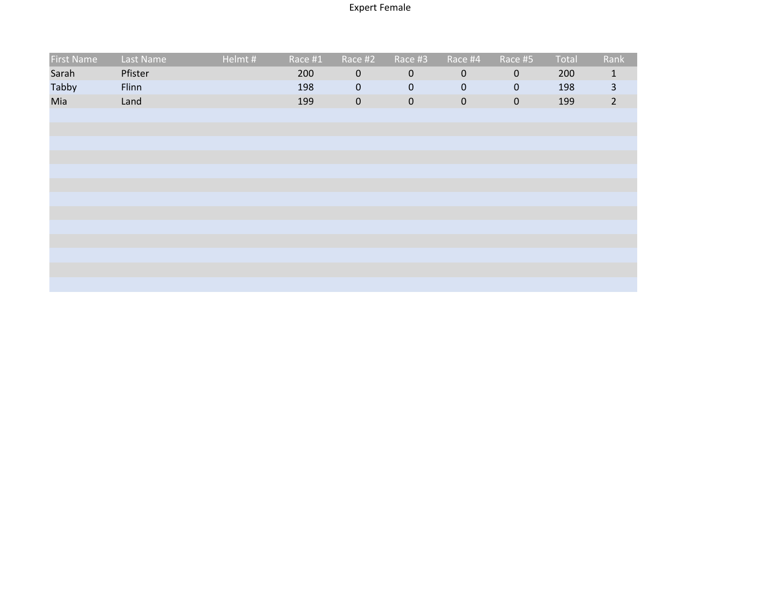## Expert Female

| <b>First Name</b> | Last Name | Helmt# | Race #1 | Race #2          | Race #3     | Race #4     | Race #5     | Total | Rank                    |
|-------------------|-----------|--------|---------|------------------|-------------|-------------|-------------|-------|-------------------------|
| Sarah             | Pfister   |        | 200     | $\mathbf 0$      | $\mathbf 0$ | $\mathbf 0$ | $\mathbf 0$ | 200   | $\mathbf{1}$            |
| Tabby             | Flinn     |        | 198     | $\pmb{0}$        | $\pmb{0}$   | $\mathbf 0$ | $\mathbf 0$ | 198   | $\overline{\mathbf{3}}$ |
| Mia               | Land      |        | 199     | $\boldsymbol{0}$ | $\mathbf 0$ | $\mathbf 0$ | $\mathbf 0$ | 199   | $2^{\circ}$             |
|                   |           |        |         |                  |             |             |             |       |                         |
|                   |           |        |         |                  |             |             |             |       |                         |
|                   |           |        |         |                  |             |             |             |       |                         |
|                   |           |        |         |                  |             |             |             |       |                         |
|                   |           |        |         |                  |             |             |             |       |                         |
|                   |           |        |         |                  |             |             |             |       |                         |
|                   |           |        |         |                  |             |             |             |       |                         |
|                   |           |        |         |                  |             |             |             |       |                         |
|                   |           |        |         |                  |             |             |             |       |                         |
|                   |           |        |         |                  |             |             |             |       |                         |
|                   |           |        |         |                  |             |             |             |       |                         |
|                   |           |        |         |                  |             |             |             |       |                         |
|                   |           |        |         |                  |             |             |             |       |                         |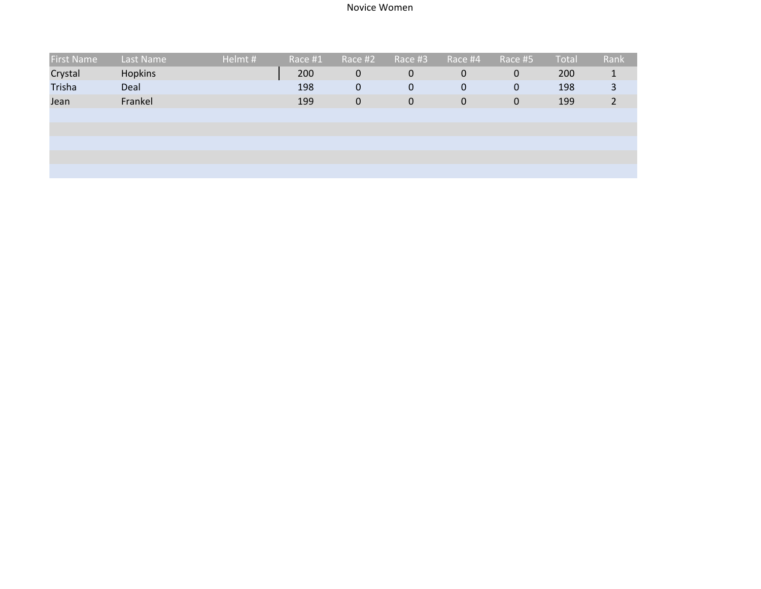## Novice Women

| <b>First Name</b> | Last Name      | Helmt# | Race #1 | Race #2          | Race #3 | Race #4     | Race #5     | <b>Total</b> | Rank           |
|-------------------|----------------|--------|---------|------------------|---------|-------------|-------------|--------------|----------------|
| Crystal           | <b>Hopkins</b> |        | 200     | $\boldsymbol{0}$ | 0       | $\mathbf 0$ | $\mathbf 0$ | 200          | 1              |
| Trisha            | Deal           |        | 198     | 0                | 0       | $\mathbf 0$ | $\mathbf 0$ | 198          | 3              |
| Jean              | Frankel        |        | 199     | $\mathbf 0$      | 0       | $\mathbf 0$ | $\mathbf 0$ | 199          | $\overline{2}$ |
|                   |                |        |         |                  |         |             |             |              |                |
|                   |                |        |         |                  |         |             |             |              |                |
|                   |                |        |         |                  |         |             |             |              |                |
|                   |                |        |         |                  |         |             |             |              |                |
|                   |                |        |         |                  |         |             |             |              |                |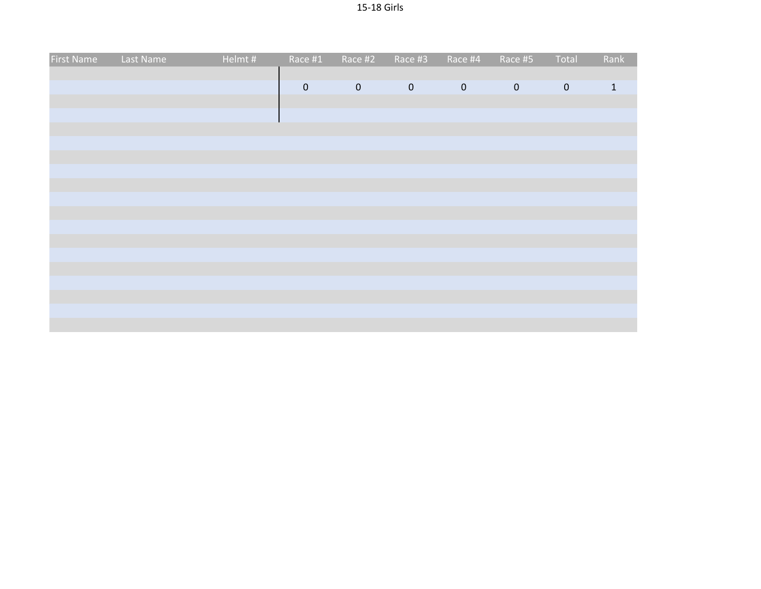| Last Name | Helmt# |             |           |             | Race #4                       | Race #5   | Total       | Rank         |
|-----------|--------|-------------|-----------|-------------|-------------------------------|-----------|-------------|--------------|
|           |        |             |           |             |                               |           |             |              |
|           |        | $\mathbf 0$ | $\pmb{0}$ | $\mathbf 0$ | $\mathbf 0$                   | $\pmb{0}$ | $\mathbf 0$ | $\mathbf{1}$ |
|           |        |             |           |             |                               |           |             |              |
|           |        |             |           |             |                               |           |             |              |
|           |        |             |           |             |                               |           |             |              |
|           |        |             |           |             |                               |           |             |              |
|           |        |             |           |             |                               |           |             |              |
|           |        |             |           |             |                               |           |             |              |
|           |        |             |           |             |                               |           |             |              |
|           |        |             |           |             |                               |           |             |              |
|           |        |             |           |             |                               |           |             |              |
|           |        |             |           |             |                               |           |             |              |
|           |        |             |           |             |                               |           |             |              |
|           |        |             |           |             |                               |           |             |              |
|           |        |             |           |             |                               |           |             |              |
|           |        |             |           |             |                               |           |             |              |
|           |        |             |           |             |                               |           |             |              |
|           |        |             |           |             |                               |           |             |              |
|           |        |             |           |             |                               |           |             |              |
|           |        |             |           |             |                               |           |             |              |
|           |        |             |           |             | Race #1<br>Race #2<br>Race #3 |           |             |              |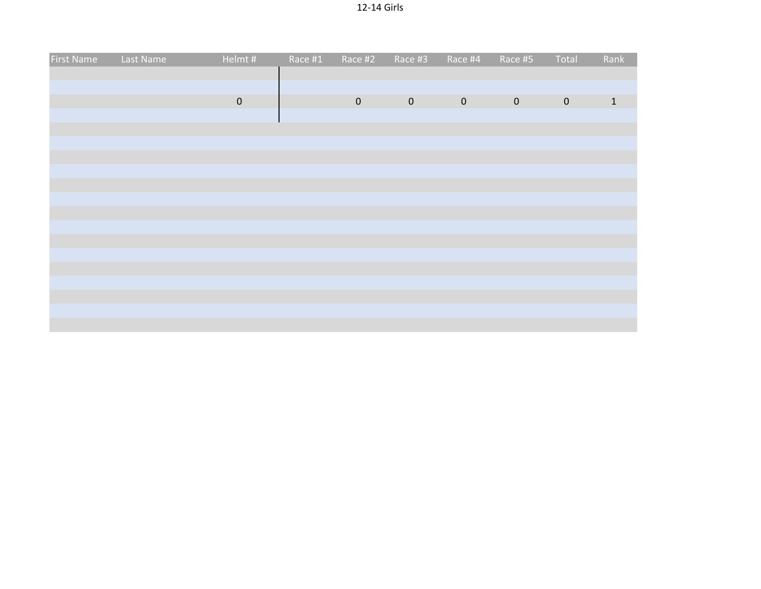| <b>First Name</b> | Last Name | Helmt#    | Race #1 | Race #2             | Race #3     | Race #4        | Race #5     | Total       | Rank         |
|-------------------|-----------|-----------|---------|---------------------|-------------|----------------|-------------|-------------|--------------|
|                   |           |           |         |                     |             |                |             |             |              |
|                   |           | $\pmb{0}$ |         | $\mathsf{O}\xspace$ | $\mathbf 0$ | $\overline{0}$ | $\mathbf 0$ | $\mathbf 0$ | $\mathbf{1}$ |
|                   |           |           |         |                     |             |                |             |             |              |
|                   |           |           |         |                     |             |                |             |             |              |
|                   |           |           |         |                     |             |                |             |             |              |
|                   |           |           |         |                     |             |                |             |             |              |
|                   |           |           |         |                     |             |                |             |             |              |
|                   |           |           |         |                     |             |                |             |             |              |
|                   |           |           |         |                     |             |                |             |             |              |
|                   |           |           |         |                     |             |                |             |             |              |
|                   |           |           |         |                     |             |                |             |             |              |
|                   |           |           |         |                     |             |                |             |             |              |
|                   |           |           |         |                     |             |                |             |             |              |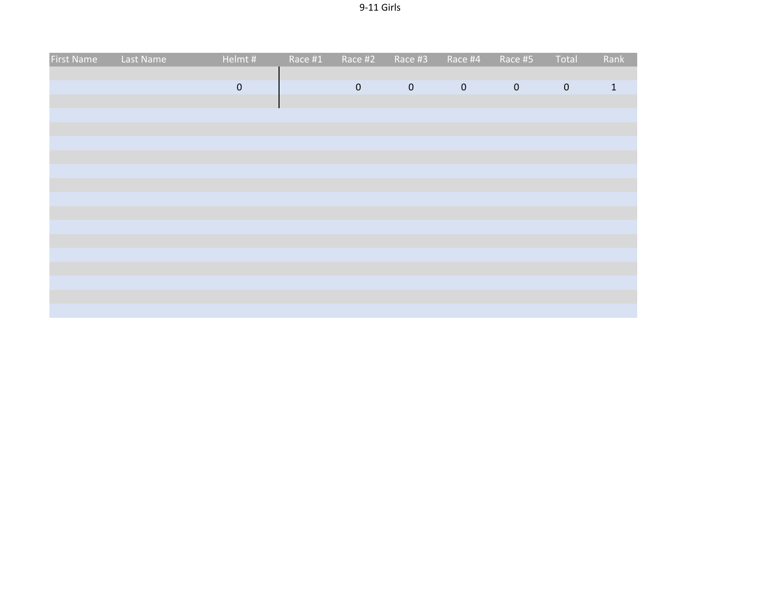| <b>First Name</b> | Last Name | Helmt#    | Race #1 | Race #2     | Race #3     | Race #4     | Race #5     | Total       | Rank         |
|-------------------|-----------|-----------|---------|-------------|-------------|-------------|-------------|-------------|--------------|
|                   |           |           |         |             |             |             |             |             |              |
|                   |           | $\pmb{0}$ |         | $\mathbf 0$ | $\mathbf 0$ | $\mathbf 0$ | $\mathbf 0$ | $\mathbf 0$ | $\mathbf{1}$ |
|                   |           |           |         |             |             |             |             |             |              |
|                   |           |           |         |             |             |             |             |             |              |
|                   |           |           |         |             |             |             |             |             |              |
|                   |           |           |         |             |             |             |             |             |              |
|                   |           |           |         |             |             |             |             |             |              |
|                   |           |           |         |             |             |             |             |             |              |
|                   |           |           |         |             |             |             |             |             |              |
|                   |           |           |         |             |             |             |             |             |              |
|                   |           |           |         |             |             |             |             |             |              |
|                   |           |           |         |             |             |             |             |             |              |
|                   |           |           |         |             |             |             |             |             |              |
|                   |           |           |         |             |             |             |             |             |              |
|                   |           |           |         |             |             |             |             |             |              |
|                   |           |           |         |             |             |             |             |             |              |
|                   |           |           |         |             |             |             |             |             |              |
|                   |           |           |         |             |             |             |             |             |              |